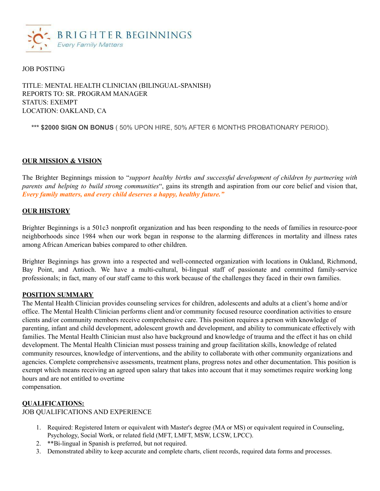

#### JOB POSTING

## TITLE: MENTAL HEALTH CLINICIAN (BILINGUAL-SPANISH) REPORTS TO: SR. PROGRAM MANAGER STATUS: EXEMPT LOCATION: OAKLAND, CA

**\*\*\* \$2000 SIGN ON BONUS** ( 50% UPON HIRE, 50% AFTER 6 MONTHS PROBATIONARY PERIOD).

#### **OUR MISSION & VISION**

The Brighter Beginnings mission to "*support healthy births and successful development of children by partnering with parents and helping to build strong communities*", gains its strength and aspiration from our core belief and vision that, *Every family matters, and every child deserves a happy, healthy future."*

#### **OUR HISTORY**

Brighter Beginnings is a 501c3 nonprofit organization and has been responding to the needs of families in resource-poor neighborhoods since 1984 when our work began in response to the alarming differences in mortality and illness rates among African American babies compared to other children.

Brighter Beginnings has grown into a respected and well-connected organization with locations in Oakland, Richmond, Bay Point, and Antioch. We have a multi-cultural, bi-lingual staff of passionate and committed family-service professionals; in fact, many of our staff came to this work because of the challenges they faced in their own families.

#### **POSITION SUMMARY**

The Mental Health Clinician provides counseling services for children, adolescents and adults at a client's home and/or office. The Mental Health Clinician performs client and/or community focused resource coordination activities to ensure clients and/or community members receive comprehensive care. This position requires a person with knowledge of parenting, infant and child development, adolescent growth and development, and ability to communicate effectively with families. The Mental Health Clinician must also have background and knowledge of trauma and the effect it has on child development. The Mental Health Clinician must possess training and group facilitation skills, knowledge of related community resources, knowledge of interventions, and the ability to collaborate with other community organizations and agencies. Complete comprehensive assessments, treatment plans, progress notes and other documentation. This position is exempt which means receiving an agreed upon salary that takes into account that it may sometimes require working long hours and are not entitled to overtime

compensation.

#### **QUALIFICATIONS:**

JOB QUALIFICATIONS AND EXPERIENCE

- 1. Required: Registered Intern or equivalent with Master's degree (MA or MS) or equivalent required in Counseling, Psychology, Social Work, or related field (MFT, LMFT, MSW, LCSW, LPCC).
- 2. \*\*Bi-lingual in Spanish is preferred, but not required.
- 3. Demonstrated ability to keep accurate and complete charts, client records, required data forms and processes.